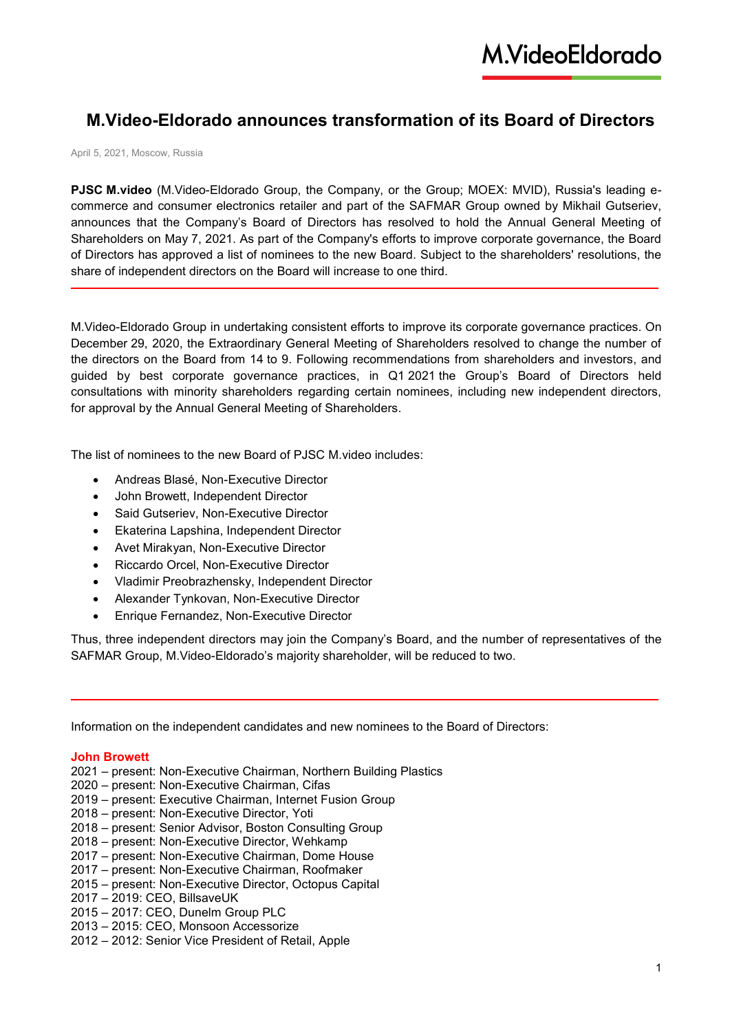# **M.Video-Eldorado announces transformation of its Board of Directors**

April 5, 2021, Moscow, Russia

**PJSC M.video** (M.Video-Eldorado Group, the Company, or the Group; MOEX: MVID), Russia's leading ecommerce and consumer electronics retailer and part of the SAFMAR Group owned by Mikhail Gutseriev, announces that the Company's Board of Directors has resolved to hold the Annual General Meeting of Shareholders on May 7, 2021. As part of the Company's efforts to improve corporate governance, the Board of Directors has approved a list of nominees to the new Board. Subject to the shareholders' resolutions, the share of independent directors on the Board will increase to one third.

M.Video-Eldorado Group in undertaking consistent efforts to improve its corporate governance practices. On December 29, 2020, the Extraordinary General Meeting of Shareholders resolved to change the number of the directors on the Board from 14 to 9. Following recommendations from shareholders and investors, and guided by best corporate governance practices, in Q1 2021 the Group's Board of Directors held consultations with minority shareholders regarding certain nominees, including new independent directors, for approval by the Annual General Meeting of Shareholders.

The list of nominees to the new Board of PJSC M video includes:

- Andreas Blasé, Non-Executive Director
- John Browett, Independent Director
- Said Gutseriev, Non-Executive Director
- Ekaterina Lapshina, Independent Director
- Avet Mirakyan, Non-Executive Director
- Riccardo Orcel, Non-Executive Director
- Vladimir Preobrazhensky, Independent Director
- Alexander Tynkovan, Non-Executive Director
- Enrique Fernandez, Non-Executive Director

Thus, three independent directors may join the Company's Board, and the number of representatives of the SAFMAR Group, M.Video-Eldorado's majority shareholder, will be reduced to two.

Information on the independent candidates and new nominees to the Board of Directors:

#### **John Browett**

- 2021 present: Non-Executive Chairman, Northern Building Plastics
- 2020 present: Non-Executive Chairman, Cifas
- 2019 present: Executive Chairman, Internet Fusion Group
- 2018 present: Non-Executive Director, Yoti
- 2018 present: Senior Advisor, Boston Consulting Group
- 2018 present: Non-Executive Director, Wehkamp
- 2017 present: Non-Executive Chairman, Dome House
- 2017 present: Non-Executive Chairman, Roofmaker
- 2015 present: Non-Executive Director, Octopus Capital
- 2017 2019: CEO, BillsaveUK
- 2015 2017: CEO, Dunelm Group PLC
- 2013 2015: CEO, Monsoon Accessorize
- 2012 2012: Senior Vice President of Retail, Apple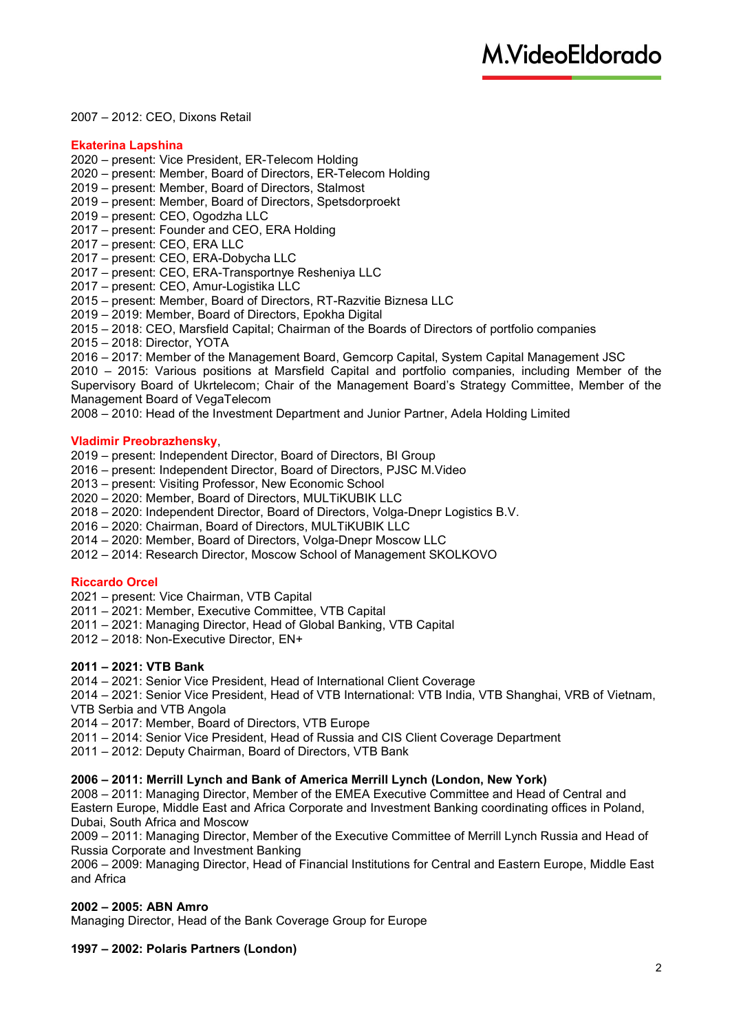### – 2012: CEO, Dixons Retail

### **Ekaterina Lapshina**

– present: Vice President, ER-Telecom Holding

- present: Member, Board of Directors, ER-Telecom Holding
- present: Member, Board of Directors, Stalmost
- present: Member, Board of Directors, Spetsdorproekt
- present: CEO, Ogodzha LLC
- present: Founder and CEO, ERA Holding
- present: CEO, ERA LLC
- present: CEO, ERA-Dobycha LLC
- present: CEO, ERA-Transportnye Resheniya LLC
- present: CEO, Amur-Logistika LLC

– present: Member, Board of Directors, RT-Razvitie Biznesa LLC

– 2019: Member, Board of Directors, Epokha Digital

– 2018: CEO, Marsfield Capital; Chairman of the Boards of Directors of portfolio companies

– 2018: Director, YOTA

– 2017: Member of the Management Board, Gemcorp Capital, System Capital Management JSC

– 2015: Various positions at Marsfield Capital and portfolio companies, including Member of the Supervisory Board of Ukrtelecom; Chair of the Management Board's Strategy Committee, Member of the Management Board of VegaTelecom

– 2010: Head of the Investment Department and Junior Partner, Adela Holding Limited

### **Vladimir Preobrazhensky**,

– present: Independent Director, Board of Directors, BI Group

- present: Independent Director, Board of Directors, PJSC M.Video
- present: Visiting Professor, New Economic School
- 2020: Member, Board of Directors, MULTiKUBIK LLC
- 2020: Independent Director, Board of Directors, Volga-Dnepr Logistics B.V.
- 2020: Chairman, Board of Directors, MULTiKUBIK LLC
- 2020: Member, Board of Directors, Volga-Dnepr Moscow LLC
- 2014: Research Director, Moscow School of Management SKOLKOVO

# **Riccardo Orcel**

- present: Vice Chairman, VTB Capital
- 2021: Member, Executive Committee, VTB Capital
- 2021: Managing Director, Head of Global Banking, VTB Capital
- 2018: Non-Executive Director, EN+

### **– 2021: VTB Bank**

– 2021: Senior Vice President, Head of International Client Coverage

– 2021: Senior Vice President, Head of VTB International: VTB India, VTB Shanghai, VRB of Vietnam, VTB Serbia and VTB Angola

– 2017: Member, Board of Directors, VTB Europe

- 2014: Senior Vice President, Head of Russia and CIS Client Coverage Department
- 2012: Deputy Chairman, Board of Directors, VTB Bank

# **– 2011: Merrill Lynch and Bank of America Merrill Lynch (London, New York)**

 – 2011: Managing Director, Member of the EMEA Executive Committee and Head of Central and Eastern Europe, Middle East and Africa Corporate and Investment Banking coordinating offices in Poland, Dubai, South Africa and Moscow

– 2011: Managing Director, Member of the Executive Committee of Merrill Lynch Russia and Head of Russia Corporate and Investment Banking

 – 2009: Managing Director, Head of Financial Institutions for Central and Eastern Europe, Middle East and Africa

# **– 2005: ABN Amro**

Managing Director, Head of the Bank Coverage Group for Europe

### **– 2002: Polaris Partners (London)**